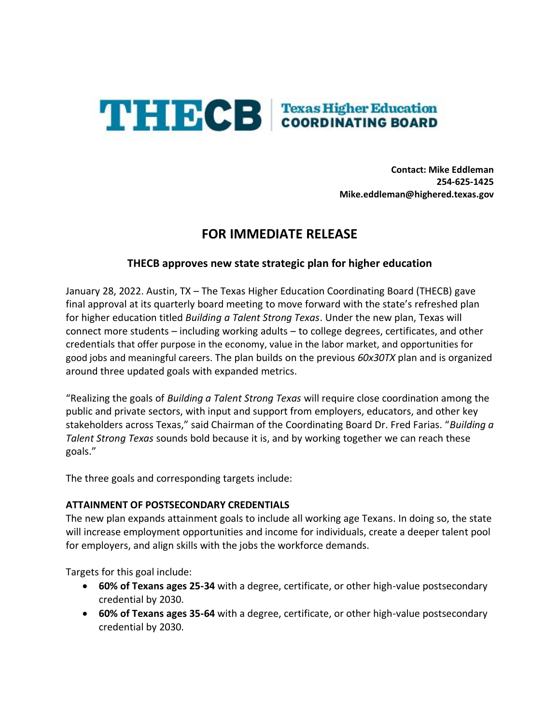

**Contact: Mike Eddleman 254-625-1425 Mike.eddleman@highered.texas.gov**

# **FOR IMMEDIATE RELEASE**

# **THECB approves new state strategic plan for higher education**

January 28, 2022. Austin, TX – The Texas Higher Education Coordinating Board (THECB) gave final approval at its quarterly board meeting to move forward with the state's refreshed plan for higher education titled *Building a Talent Strong Texas*. Under the new plan, Texas will connect more students – including working adults – to college degrees, certificates, and other credentials that offer purpose in the economy, value in the labor market, and opportunities for good jobs and meaningful careers. The plan builds on the previous *60x30TX* plan and is organized around three updated goals with expanded metrics.

"Realizing the goals of *Building a Talent Strong Texas* will require close coordination among the public and private sectors, with input and support from employers, educators, and other key stakeholders across Texas," said Chairman of the Coordinating Board Dr. Fred Farias. "*Building a Talent Strong Texas* sounds bold because it is, and by working together we can reach these goals."

The three goals and corresponding targets include:

## **ATTAINMENT OF POSTSECONDARY CREDENTIALS**

The new plan expands attainment goals to include all working age Texans. In doing so, the state will increase employment opportunities and income for individuals, create a deeper talent pool for employers, and align skills with the jobs the workforce demands.

Targets for this goal include:

- **60% of Texans ages 25-34** with a degree, certificate, or other high-value postsecondary credential by 2030.
- **60% of Texans ages 35-64** with a degree, certificate, or other high-value postsecondary credential by 2030.